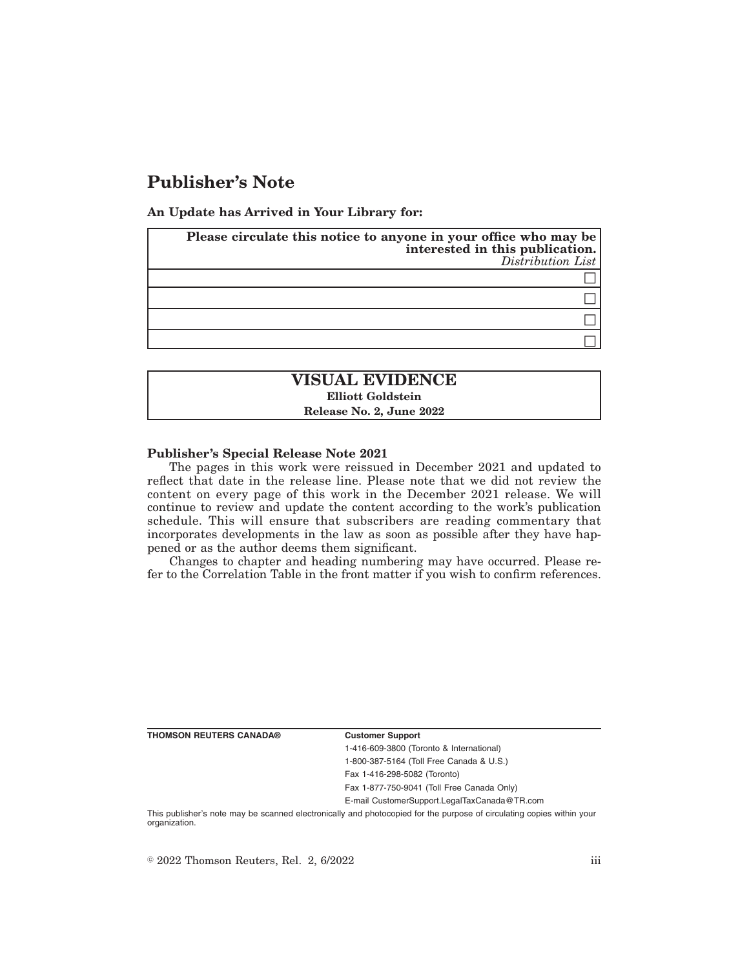# **Publisher's Note**

**An Update has Arrived in Your Library for:**

| Please circulate this notice to anyone in your office who may be<br>interested in this publication.<br>Distribution List |
|--------------------------------------------------------------------------------------------------------------------------|
|                                                                                                                          |
|                                                                                                                          |
|                                                                                                                          |
|                                                                                                                          |

# **VISUAL EVIDENCE Elliott Goldstein Release No. 2, June 2022**

### **Publisher's Special Release Note 2021**

The pages in this work were reissued in December 2021 and updated to reflect that date in the release line. Please note that we did not review the content on every page of this work in the December 2021 release. We will continue to review and update the content according to the work's publication schedule. This will ensure that subscribers are reading commentary that incorporates developments in the law as soon as possible after they have happened or as the author deems them significant.

Changes to chapter and heading numbering may have occurred. Please refer to the Correlation Table in the front matter if you wish to confirm references.

| THOMSON REUTERS CANADA® |  |  |  |
|-------------------------|--|--|--|
|-------------------------|--|--|--|

#### **Customer Support**

1-416-609-3800 (Toronto & International) 1-800-387-5164 (Toll Free Canada & U.S.)

Fax 1-416-298-5082 (Toronto)

Fax 1-877-750-9041 (Toll Free Canada Only)

E-mail CustomerSupport.LegalTaxCanada@TR.com

This publisher's note may be scanned electronically and photocopied for the purpose of circulating copies within your organization.

 $\degree$  2022 Thomson Reuters, Rel. 2, 6/2022 iii